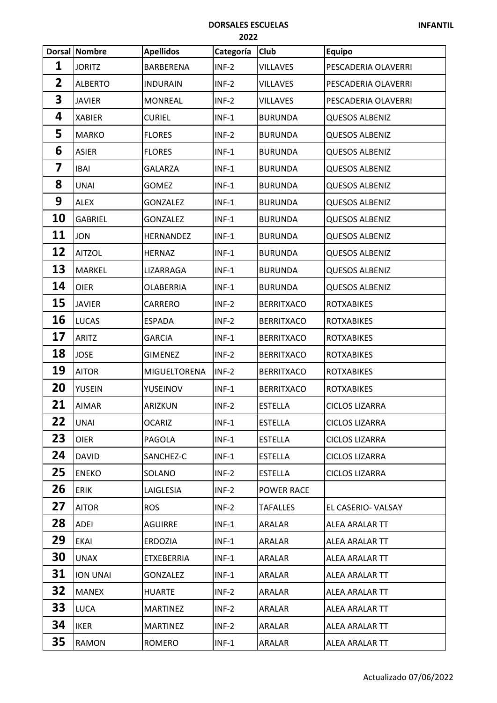## **DORSALES ESCUELAS**

|                | <b>Dorsal Nombre</b> | <b>Apellidos</b>  | Categoría | <b>Club</b>       | <b>Equipo</b>         |
|----------------|----------------------|-------------------|-----------|-------------------|-----------------------|
| 1              | <b>JORITZ</b>        | BARBERENA         | $INF-2$   | <b>VILLAVES</b>   | PESCADERIA OLAVERRI   |
| $\overline{2}$ | <b>ALBERTO</b>       | <b>INDURAIN</b>   | $INF-2$   | <b>VILLAVES</b>   | PESCADERIA OLAVERRI   |
| 3              | <b>JAVIER</b>        | <b>MONREAL</b>    | $INF-2$   | <b>VILLAVES</b>   | PESCADERIA OLAVERRI   |
| 4              | <b>XABIER</b>        | <b>CURIEL</b>     | $INF-1$   | <b>BURUNDA</b>    | <b>QUESOS ALBENIZ</b> |
| 5              | <b>MARKO</b>         | <b>FLORES</b>     | $INF-2$   | <b>BURUNDA</b>    | <b>QUESOS ALBENIZ</b> |
| 6              | <b>ASIER</b>         | <b>FLORES</b>     | $INF-1$   | <b>BURUNDA</b>    | <b>QUESOS ALBENIZ</b> |
| 7              | <b>IBAI</b>          | <b>GALARZA</b>    | $INF-1$   | <b>BURUNDA</b>    | <b>QUESOS ALBENIZ</b> |
| 8              | <b>UNAI</b>          | <b>GOMEZ</b>      | $INF-1$   | <b>BURUNDA</b>    | <b>QUESOS ALBENIZ</b> |
| 9              | <b>ALEX</b>          | <b>GONZALEZ</b>   | $INF-1$   | <b>BURUNDA</b>    | <b>QUESOS ALBENIZ</b> |
| <b>10</b>      | <b>GABRIEL</b>       | <b>GONZALEZ</b>   | $INF-1$   | <b>BURUNDA</b>    | <b>QUESOS ALBENIZ</b> |
| 11             | <b>JON</b>           | HERNANDEZ         | $INF-1$   | <b>BURUNDA</b>    | <b>QUESOS ALBENIZ</b> |
| 12             | <b>AITZOL</b>        | <b>HERNAZ</b>     | $INF-1$   | <b>BURUNDA</b>    | <b>QUESOS ALBENIZ</b> |
| 13             | MARKEL               | LIZARRAGA         | $INF-1$   | <b>BURUNDA</b>    | <b>QUESOS ALBENIZ</b> |
| 14             | <b>OIER</b>          | <b>OLABERRIA</b>  | $INF-1$   | <b>BURUNDA</b>    | <b>QUESOS ALBENIZ</b> |
| 15             | <b>JAVIER</b>        | CARRERO           | $INF-2$   | <b>BERRITXACO</b> | <b>ROTXABIKES</b>     |
| 16             | <b>LUCAS</b>         | <b>ESPADA</b>     | $INF-2$   | <b>BERRITXACO</b> | <b>ROTXABIKES</b>     |
| 17             | <b>ARITZ</b>         | <b>GARCIA</b>     | $INF-1$   | <b>BERRITXACO</b> | <b>ROTXABIKES</b>     |
| 18             | <b>JOSE</b>          | <b>GIMENEZ</b>    | $INF-2$   | <b>BERRITXACO</b> | <b>ROTXABIKES</b>     |
| 19             | <b>AITOR</b>         | MIGUELTORENA      | $INF-2$   | <b>BERRITXACO</b> | <b>ROTXABIKES</b>     |
| 20             | <b>YUSEIN</b>        | YUSEINOV          | $INF-1$   | <b>BERRITXACO</b> | <b>ROTXABIKES</b>     |
| 21             | <b>AIMAR</b>         | ARIZKUN           | $INF-2$   | <b>ESTELLA</b>    | <b>CICLOS LIZARRA</b> |
| 22             | <b>UNAI</b>          | <b>OCARIZ</b>     | $INF-1$   | <b>ESTELLA</b>    | <b>CICLOS LIZARRA</b> |
| 23             | <b>OIER</b>          | PAGOLA            | $INF-1$   | <b>ESTELLA</b>    | <b>CICLOS LIZARRA</b> |
| 24             | <b>DAVID</b>         | SANCHEZ-C         | $INF-1$   | <b>ESTELLA</b>    | <b>CICLOS LIZARRA</b> |
| 25             | <b>ENEKO</b>         | SOLANO            | $INF-2$   | <b>ESTELLA</b>    | <b>CICLOS LIZARRA</b> |
| 26             | <b>ERIK</b>          | LAIGLESIA         | $INF-2$   | POWER RACE        |                       |
| 27             | <b>AITOR</b>         | <b>ROS</b>        | $INF-2$   | <b>TAFALLES</b>   | EL CASERIO-VALSAY     |
| 28             | ADEI                 | <b>AGUIRRE</b>    | $INF-1$   | <b>ARALAR</b>     | ALEA ARALAR TT        |
| 29             | <b>EKAI</b>          | <b>ERDOZIA</b>    | $INF-1$   | <b>ARALAR</b>     | ALEA ARALAR TT        |
| 30             | <b>UNAX</b>          | <b>ETXEBERRIA</b> | $INF-1$   | <b>ARALAR</b>     | ALEA ARALAR TT        |
| 31             | ION UNAI             | <b>GONZALEZ</b>   | $INF-1$   | ARALAR            | ALEA ARALAR TT        |
| 32             | <b>MANEX</b>         | <b>HUARTE</b>     | $INF-2$   | <b>ARALAR</b>     | ALEA ARALAR TT        |
| 33             | <b>LUCA</b>          | <b>MARTINEZ</b>   | $INF-2$   | <b>ARALAR</b>     | ALEA ARALAR TT        |
| 34             | <b>IKER</b>          | <b>MARTINEZ</b>   | $INF-2$   | <b>ARALAR</b>     | ALEA ARALAR TT        |
| 35             | <b>RAMON</b>         | ROMERO            | $INF-1$   | ARALAR            | ALEA ARALAR TT        |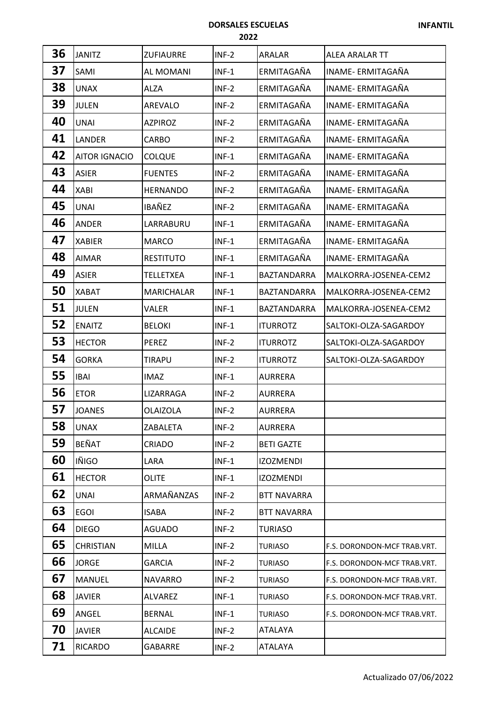## **DORSALES ESCUELAS**

| 36 | <b>JANITZ</b>        | <b>ZUFIAURRE</b>  | $INF-2$ | ARALAR             | ALEA ARALAR TT              |
|----|----------------------|-------------------|---------|--------------------|-----------------------------|
| 37 | SAMI                 | AL MOMANI         | $INF-1$ | ERMITAGAÑA         | INAME- ERMITAGAÑA           |
| 38 | <b>UNAX</b>          | ALZA              | $INF-2$ | ERMITAGAÑA         | INAME- ERMITAGAÑA           |
| 39 | <b>JULEN</b>         | AREVALO           | $INF-2$ | ERMITAGAÑA         | INAME- ERMITAGAÑA           |
| 40 | <b>UNAI</b>          | <b>AZPIROZ</b>    | $INF-2$ | ERMITAGAÑA         | INAME- ERMITAGAÑA           |
| 41 | LANDER               | CARBO             | $INF-2$ | ERMITAGAÑA         | INAME- ERMITAGAÑA           |
| 42 | <b>AITOR IGNACIO</b> | <b>COLQUE</b>     | $INF-1$ | ERMITAGAÑA         | INAME- ERMITAGAÑA           |
| 43 | <b>ASIER</b>         | <b>FUENTES</b>    | $INF-2$ | ERMITAGAÑA         | INAME- ERMITAGAÑA           |
| 44 | <b>XABI</b>          | <b>HERNANDO</b>   | $INF-2$ | ERMITAGAÑA         | INAME- ERMITAGAÑA           |
| 45 | <b>UNAI</b>          | IBAÑEZ            | $INF-2$ | ERMITAGAÑA         | INAME- ERMITAGAÑA           |
| 46 | <b>ANDER</b>         | LARRABURU         | $INF-1$ | ERMITAGAÑA         | INAME- ERMITAGAÑA           |
| 47 | <b>XABIER</b>        | <b>MARCO</b>      | $INF-1$ | ERMITAGAÑA         | INAME- ERMITAGAÑA           |
| 48 | <b>AIMAR</b>         | <b>RESTITUTO</b>  | $INF-1$ | ERMITAGAÑA         | INAME- ERMITAGAÑA           |
| 49 | <b>ASIER</b>         | <b>TELLETXEA</b>  | $INF-1$ | <b>BAZTANDARRA</b> | MALKORRA-JOSENEA-CEM2       |
| 50 | <b>XABAT</b>         | <b>MARICHALAR</b> | $INF-1$ | BAZTANDARRA        | MALKORRA-JOSENEA-CEM2       |
| 51 | <b>JULEN</b>         | Valer             | $INF-1$ | <b>BAZTANDARRA</b> | MALKORRA-JOSENEA-CEM2       |
| 52 | <b>ENAITZ</b>        | <b>BELOKI</b>     | $INF-1$ | <b>ITURROTZ</b>    | SALTOKI-OLZA-SAGARDOY       |
| 53 | <b>HECTOR</b>        | <b>PEREZ</b>      | $INF-2$ | <b>ITURROTZ</b>    | SALTOKI-OLZA-SAGARDOY       |
| 54 | <b>GORKA</b>         | <b>TIRAPU</b>     | $INF-2$ | <b>ITURROTZ</b>    | SALTOKI-OLZA-SAGARDOY       |
| 55 | <b>IBAI</b>          | <b>IMAZ</b>       | $INF-1$ | <b>AURRERA</b>     |                             |
| 56 | <b>ETOR</b>          | LIZARRAGA         | $INF-2$ | <b>AURRERA</b>     |                             |
| 57 | <b>JOANES</b>        | OLAIZOLA          | $INF-2$ | <b>AURRERA</b>     |                             |
| 58 | <b>UNAX</b>          | ZABALETA          | $INF-2$ | <b>AURRERA</b>     |                             |
| 59 | <b>BEÑAT</b>         | CRIADO            | $INF-2$ | <b>BETI GAZTE</b>  |                             |
| 60 | <b>IÑIGO</b>         | LARA              | $INF-1$ | <b>IZOZMENDI</b>   |                             |
| 61 | <b>HECTOR</b>        | <b>OLITE</b>      | $INF-1$ | <b>IZOZMENDI</b>   |                             |
| 62 | <b>UNAI</b>          | ARMAÑANZAS        | $INF-2$ | <b>BTT NAVARRA</b> |                             |
| 63 | <b>EGOI</b>          | <b>ISABA</b>      | $INF-2$ | <b>BTT NAVARRA</b> |                             |
| 64 | <b>DIEGO</b>         | <b>AGUADO</b>     | $INF-2$ | <b>TURIASO</b>     |                             |
| 65 | <b>CHRISTIAN</b>     | <b>MILLA</b>      | $INF-2$ | <b>TURIASO</b>     | F.S. DORONDON-MCF TRAB.VRT. |
| 66 | <b>JORGE</b>         | GARCIA            | $INF-2$ | <b>TURIASO</b>     | F.S. DORONDON-MCF TRAB.VRT. |
| 67 | <b>MANUEL</b>        | <b>NAVARRO</b>    | $INF-2$ | <b>TURIASO</b>     | F.S. DORONDON-MCF TRAB.VRT. |
| 68 | <b>JAVIER</b>        | <b>ALVAREZ</b>    | $INF-1$ | <b>TURIASO</b>     | F.S. DORONDON-MCF TRAB.VRT. |
| 69 | ANGEL                | <b>BERNAL</b>     | $INF-1$ | <b>TURIASO</b>     | F.S. DORONDON-MCF TRAB.VRT. |
| 70 | <b>JAVIER</b>        | <b>ALCAIDE</b>    | $INF-2$ | ATALAYA            |                             |
| 71 | <b>RICARDO</b>       | GABARRE           | $INF-2$ | ATALAYA            |                             |